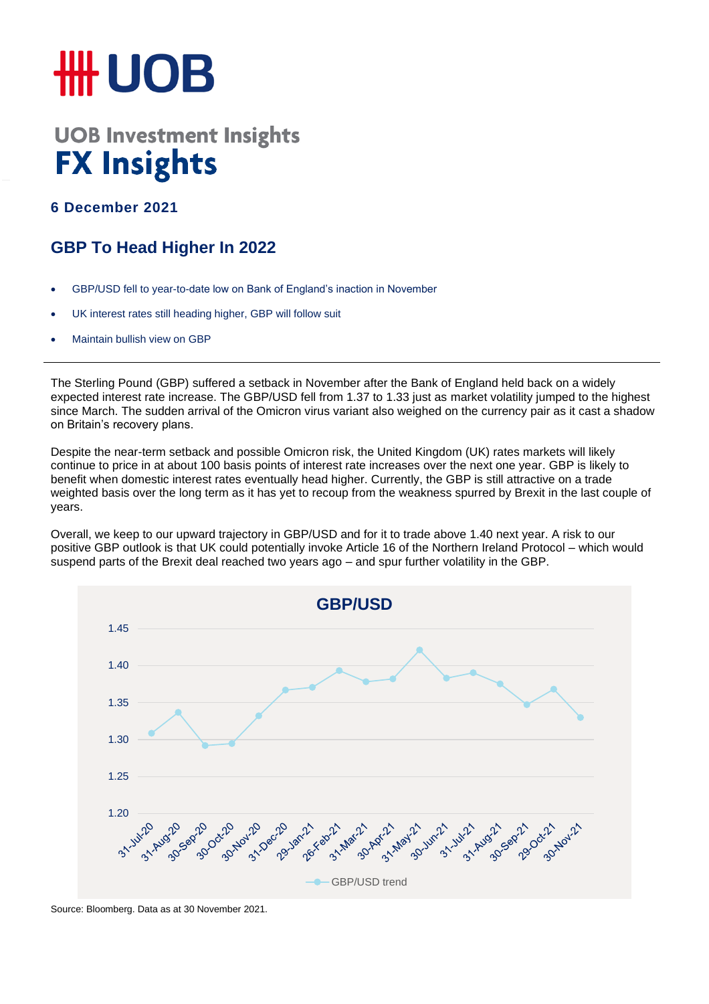## **HH UOB**

## **UOB Investment Insights FX Insights**

**6 December 2021**

## **GBP To Head Higher In 2022**

- GBP/USD fell to year-to-date low on Bank of England's inaction in November
- UK interest rates still heading higher, GBP will follow suit
- Maintain bullish view on GBP

The Sterling Pound (GBP) suffered a setback in November after the Bank of England held back on a widely expected interest rate increase. The GBP/USD fell from 1.37 to 1.33 just as market volatility jumped to the highest since March. The sudden arrival of the Omicron virus variant also weighed on the currency pair as it cast a shadow on Britain's recovery plans.

Despite the near-term setback and possible Omicron risk, the United Kingdom (UK) rates markets will likely continue to price in at about 100 basis points of interest rate increases over the next one year. GBP is likely to benefit when domestic interest rates eventually head higher. Currently, the GBP is still attractive on a trade weighted basis over the long term as it has yet to recoup from the weakness spurred by Brexit in the last couple of years.

Overall, we keep to our upward trajectory in GBP/USD and for it to trade above 1.40 next year. A risk to our positive GBP outlook is that UK could potentially invoke Article 16 of the Northern Ireland Protocol – which would suspend parts of the Brexit deal reached two years ago – and spur further volatility in the GBP.



Source: Bloomberg. Data as at 30 November 2021.